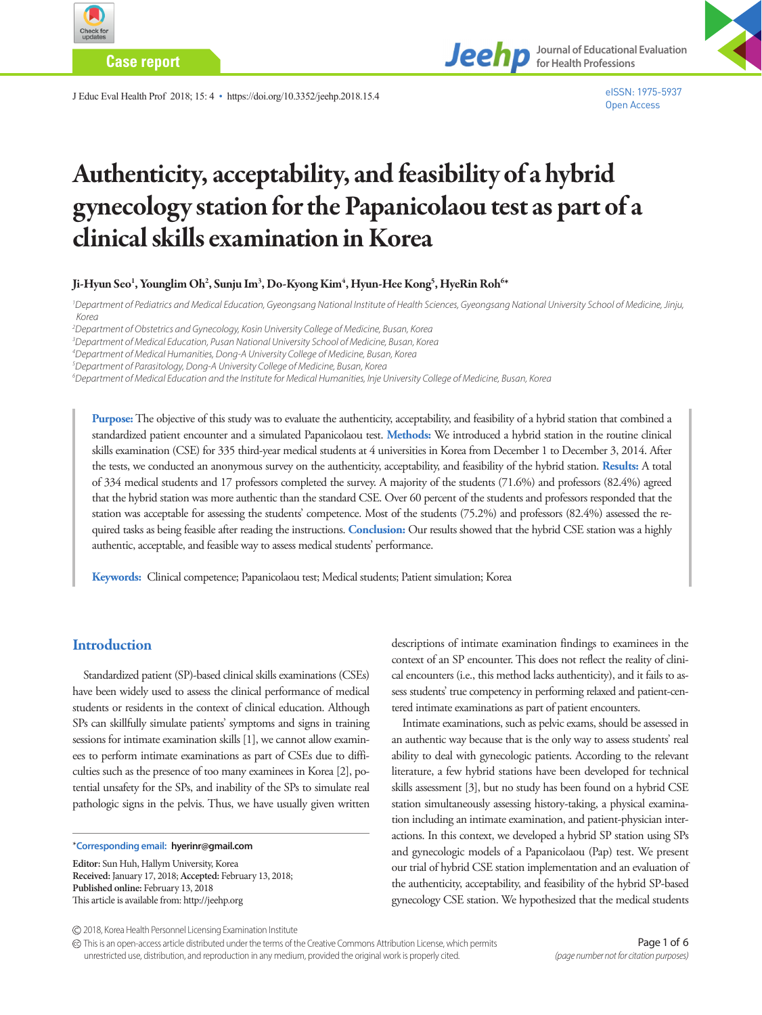

**Case report**

J Educ Eval Health Prof 2018; 15: 4 • https://doi.org/10.3352/jeehp.2018.15.4



eISSN: 1975-5937 Open Access

# Authenticity, acceptability, and feasibility of a hybrid gynecology station for the Papanicolaou test as part of a clinical skills examination in Korea

Ji-Hyun Seo<sup>1</sup>, Younglim Oh<sup>2</sup>, Sunju Im<sup>3</sup>, Do-Kyong Kim<sup>4</sup>, Hyun-Hee Kong<sup>5</sup>, HyeRin Roh<sup>64</sup>

*1 Department of Pediatrics and Medical Education, Gyeongsang National Institute of Health Sciences, Gyeongsang National University School of Medicine, Jinju, Korea* 

*2 Department of Obstetrics and Gynecology, Kosin University College of Medicine, Busan, Korea* 

*3 Department of Medical Education, Pusan National University School of Medicine, Busan, Korea* 

*4 Department of Medical Humanities, Dong-A University College of Medicine, Busan, Korea* 

*5 Department of Parasitology, Dong-A University College of Medicine, Busan, Korea* 

*6 Department of Medical Education and the Institute for Medical Humanities, Inje University College of Medicine, Busan, Korea*

**Purpose:** The objective of this study was to evaluate the authenticity, acceptability, and feasibility of a hybrid station that combined a standardized patient encounter and a simulated Papanicolaou test. **Methods:** We introduced a hybrid station in the routine clinical skills examination (CSE) for 335 third-year medical students at 4 universities in Korea from December 1 to December 3, 2014. After the tests, we conducted an anonymous survey on the authenticity, acceptability, and feasibility of the hybrid station. **Results:** A total of 334 medical students and 17 professors completed the survey. A majority of the students (71.6%) and professors (82.4%) agreed that the hybrid station was more authentic than the standard CSE. Over 60 percent of the students and professors responded that the station was acceptable for assessing the students' competence. Most of the students (75.2%) and professors (82.4%) assessed the required tasks as being feasible after reading the instructions. **Conclusion:** Our results showed that the hybrid CSE station was a highly authentic, acceptable, and feasible way to assess medical students' performance.

**Keywords:** Clinical competence; Papanicolaou test; Medical students; Patient simulation; Korea

#### **Introduction**

Standardized patient (SP)-based clinical skills examinations (CSEs) have been widely used to assess the clinical performance of medical students or residents in the context of clinical education. Although SPs can skillfully simulate patients' symptoms and signs in training sessions for intimate examination skills [1], we cannot allow examinees to perform intimate examinations as part of CSEs due to difficulties such as the presence of too many examinees in Korea [2], potential unsafety for the SPs, and inability of the SPs to simulate real pathologic signs in the pelvis. Thus, we have usually given written

\***Corresponding email: hyerinr@gmail.com**

**Editor:** Sun Huh, Hallym University, Korea **Received:** January 17, 2018; **Accepted:** February 13, 2018; **Published online:** February 13, 2018 This article is available from: http://jeehp.org

descriptions of intimate examination findings to examinees in the context of an SP encounter. This does not reflect the reality of clinical encounters (i.e., this method lacks authenticity), and it fails to assess students' true competency in performing relaxed and patient-centered intimate examinations as part of patient encounters.

Intimate examinations, such as pelvic exams, should be assessed in an authentic way because that is the only way to assess students' real ability to deal with gynecologic patients. According to the relevant literature, a few hybrid stations have been developed for technical skills assessment [3], but no study has been found on a hybrid CSE station simultaneously assessing history-taking, a physical examination including an intimate examination, and patient-physician interactions. In this context, we developed a hybrid SP station using SPs and gynecologic models of a Papanicolaou (Pap) test. We present our trial of hybrid CSE station implementation and an evaluation of the authenticity, acceptability, and feasibility of the hybrid SP-based gynecology CSE station. We hypothesized that the medical students

This is an open-access article distributed under the terms of the Creative Commons Attribution License, which permits unrestricted use, distribution, and reproduction in any medium, provided the original work is properly cited.

<sup>2018,</sup> Korea Health Personnel Licensing Examination Institute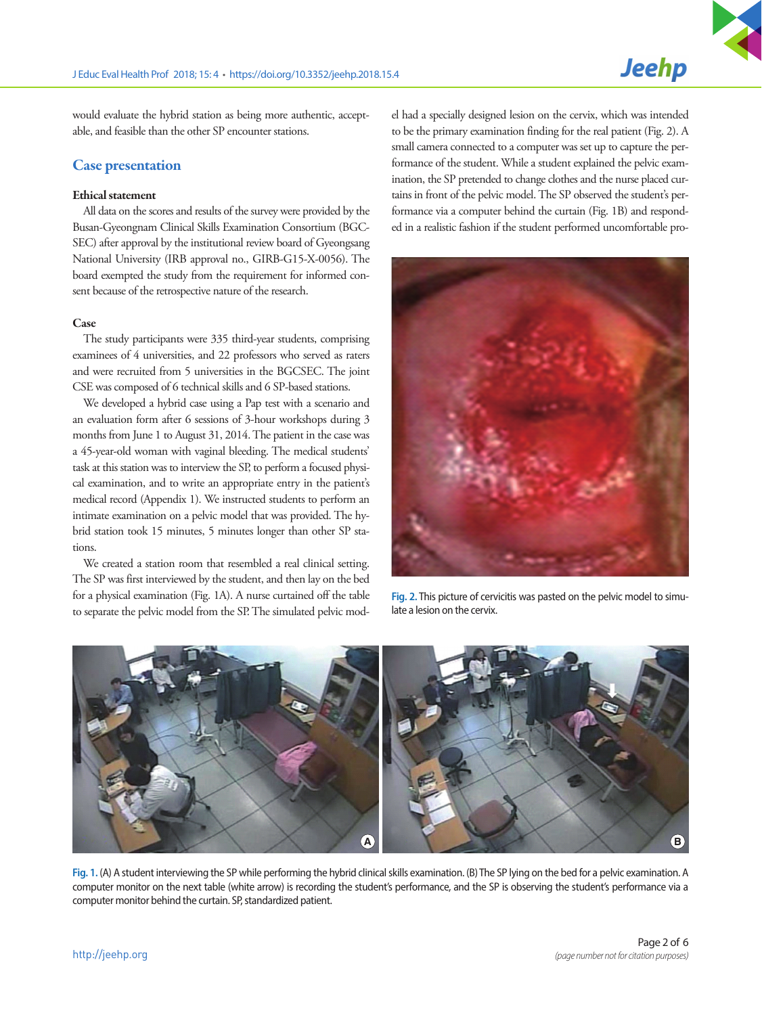would evaluate the hybrid station as being more authentic, acceptable, and feasible than the other SP encounter stations.

## Case presentation

#### Ethical statement

All data on the scores and results of the survey were provided by the Busan-Gyeongnam Clinical Skills Examination Consortium (BGC-SEC) after approval by the institutional review board of Gyeongsang National University (IRB approval no., GIRB-G15-X-0056). The board exempted the study from the requirement for informed consent because of the retrospective nature of the research.

#### Case

The study participants were 335 third-year students, comprising examinees of 4 universities, and 22 professors who served as raters and were recruited from 5 universities in the BGCSEC. The joint CSE was composed of 6 technical skills and 6 SP-based stations.

We developed a hybrid case using a Pap test with a scenario and an evaluation form after 6 sessions of 3-hour workshops during 3 months from June 1 to August 31, 2014. The patient in the case was a 45-year-old woman with vaginal bleeding. The medical students' task at this station was to interview the SP, to perform a focused physical examination, and to write an appropriate entry in the patient's medical record (Appendix 1). We instructed students to perform an intimate examination on a pelvic model that was provided. The hybrid station took 15 minutes, 5 minutes longer than other SP stations.

We created a station room that resembled a real clinical setting. The SP was first interviewed by the student, and then lay on the bed for a physical examination (Fig. 1A). A nurse curtained off the table to separate the pelvic model from the SP. The simulated pelvic model had a specially designed lesion on the cervix, which was intended to be the primary examination finding for the real patient (Fig. 2). A small camera connected to a computer was set up to capture the performance of the student. While a student explained the pelvic examination, the SP pretended to change clothes and the nurse placed curtains in front of the pelvic model. The SP observed the student's performance via a computer behind the curtain (Fig. 1B) and responded in a realistic fashion if the student performed uncomfortable pro-



**Fig. 2.** This picture of cervicitis was pasted on the pelvic model to simulate a lesion on the cervix.



**Fig. 1.** (A) A student interviewing the SP while performing the hybrid clinical skills examination. (B) The SP lying on the bed for a pelvic examination. A computer monitor on the next table (white arrow) is recording the student's performance, and the SP is observing the student's performance via a computer monitor behind the curtain. SP, standardized patient.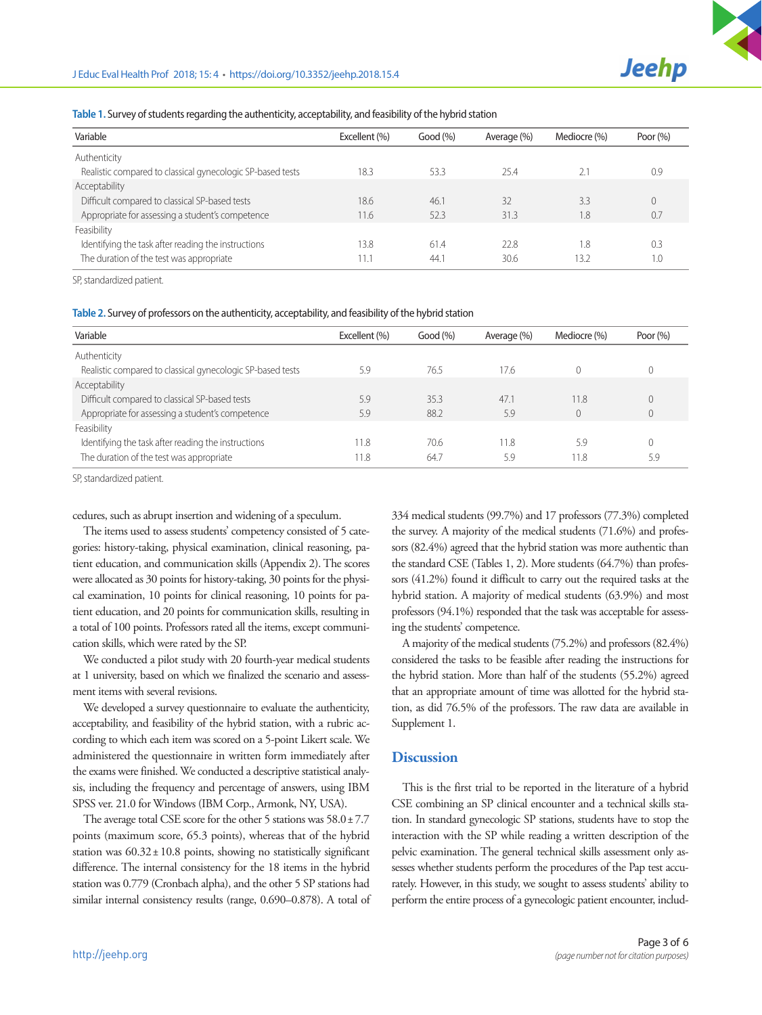| Table 1. Survey of students regarding the authenticity, acceptability, and feasibility of the hybrid station |  |  |
|--------------------------------------------------------------------------------------------------------------|--|--|
|                                                                                                              |  |  |

| Variable                                                   | Excellent (%) | Good (%) | Average (%) | Mediocre (%) | Poor $(\%)$ |  |
|------------------------------------------------------------|---------------|----------|-------------|--------------|-------------|--|
| Authenticity                                               |               |          |             |              |             |  |
| Realistic compared to classical gynecologic SP-based tests | 18.3          | 53.3     | 25.4        | 2.1          | 0.9         |  |
| Acceptability                                              |               |          |             |              |             |  |
| Difficult compared to classical SP-based tests             | 18.6          | 46.7     | 32          | 3.3          | $\Omega$    |  |
| Appropriate for assessing a student's competence           | 11.6          | 52.3     | 31.3        | 1.8          | 0.7         |  |
| Feasibility                                                |               |          |             |              |             |  |
| Identifying the task after reading the instructions        | 13.8          | 61.4     | 22.8        | 1.8          | 0.3         |  |
| The duration of the test was appropriate                   | 11.1          | 44.1     | 30.6        | 13.2         | 1.0         |  |

SP, standardized patient.

**Table 2.** Survey of professors on the authenticity, acceptability, and feasibility of the hybrid station

| Variable                                                   | Excellent (%) | Good (%) | Average (%) | Mediocre (%) | Poor $(% )$    |
|------------------------------------------------------------|---------------|----------|-------------|--------------|----------------|
| Authenticity                                               |               |          |             |              |                |
| Realistic compared to classical gynecologic SP-based tests | 5.9           | 76.5     | 17.6        |              | $\Omega$       |
| Acceptability                                              |               |          |             |              |                |
| Difficult compared to classical SP-based tests             | 5.9           | 35.3     | 47.1        | 11.8         | $\mathbf{0}$   |
| Appropriate for assessing a student's competence           | 5.9           | 88.2     | 5.9         |              | $\overline{0}$ |
| Feasibility                                                |               |          |             |              |                |
| Identifying the task after reading the instructions        | 11.8          | 70.6     | 11.8        | 5.9          | $\Omega$       |
| The duration of the test was appropriate                   | 11.8          | 64.7     | 5.9         | 11.8         | 5.9            |

SP, standardized patient.

cedures, such as abrupt insertion and widening of a speculum.

The items used to assess students' competency consisted of 5 categories: history-taking, physical examination, clinical reasoning, patient education, and communication skills (Appendix 2). The scores were allocated as 30 points for history-taking, 30 points for the physical examination, 10 points for clinical reasoning, 10 points for patient education, and 20 points for communication skills, resulting in a total of 100 points. Professors rated all the items, except communication skills, which were rated by the SP.

We conducted a pilot study with 20 fourth-year medical students at 1 university, based on which we finalized the scenario and assessment items with several revisions.

We developed a survey questionnaire to evaluate the authenticity, acceptability, and feasibility of the hybrid station, with a rubric according to which each item was scored on a 5-point Likert scale. We administered the questionnaire in written form immediately after the exams were finished. We conducted a descriptive statistical analysis, including the frequency and percentage of answers, using IBM SPSS ver. 21.0 for Windows (IBM Corp., Armonk, NY, USA).

The average total CSE score for the other 5 stations was  $58.0 \pm 7.7$ points (maximum score, 65.3 points), whereas that of the hybrid station was  $60.32 \pm 10.8$  points, showing no statistically significant difference. The internal consistency for the 18 items in the hybrid station was 0.779 (Cronbach alpha), and the other 5 SP stations had similar internal consistency results (range, 0.690–0.878). A total of 334 medical students (99.7%) and 17 professors (77.3%) completed the survey. A majority of the medical students (71.6%) and professors (82.4%) agreed that the hybrid station was more authentic than the standard CSE (Tables 1, 2). More students (64.7%) than professors (41.2%) found it difficult to carry out the required tasks at the hybrid station. A majority of medical students (63.9%) and most professors (94.1%) responded that the task was acceptable for assessing the students' competence.

A majority of the medical students (75.2%) and professors (82.4%) considered the tasks to be feasible after reading the instructions for the hybrid station. More than half of the students (55.2%) agreed that an appropriate amount of time was allotted for the hybrid station, as did 76.5% of the professors. The raw data are available in Supplement 1.

## **Discussion**

This is the first trial to be reported in the literature of a hybrid CSE combining an SP clinical encounter and a technical skills station. In standard gynecologic SP stations, students have to stop the interaction with the SP while reading a written description of the pelvic examination. The general technical skills assessment only assesses whether students perform the procedures of the Pap test accurately. However, in this study, we sought to assess students' ability to perform the entire process of a gynecologic patient encounter, includ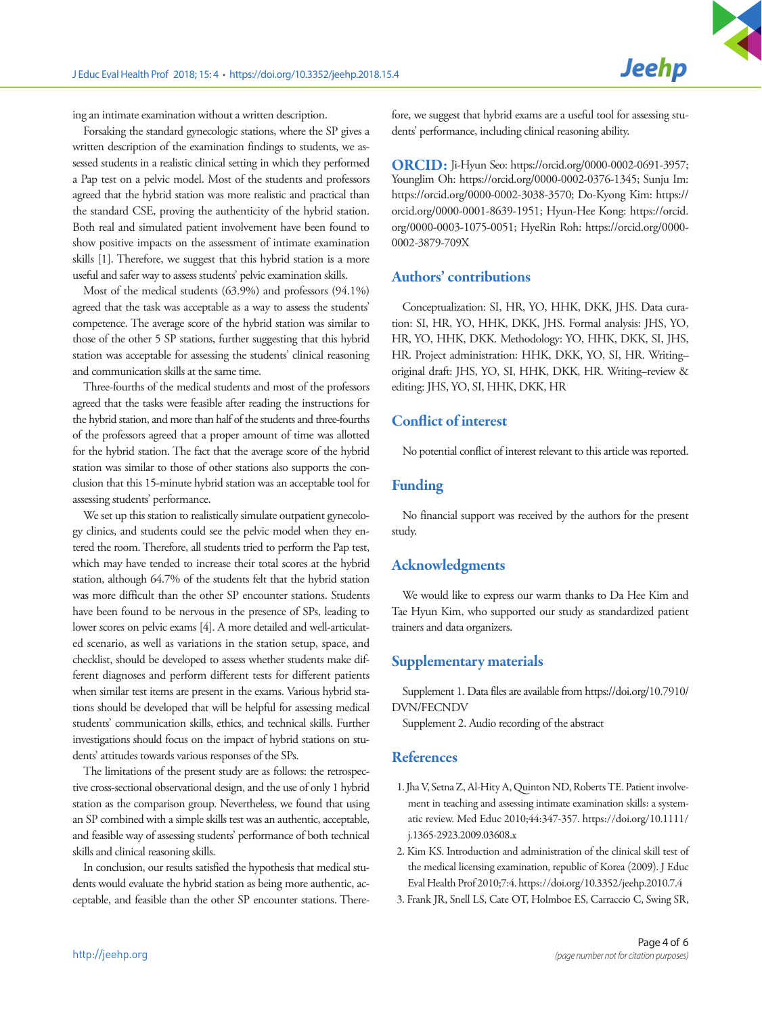ing an intimate examination without a written description.

Forsaking the standard gynecologic stations, where the SP gives a written description of the examination findings to students, we assessed students in a realistic clinical setting in which they performed a Pap test on a pelvic model. Most of the students and professors agreed that the hybrid station was more realistic and practical than the standard CSE, proving the authenticity of the hybrid station. Both real and simulated patient involvement have been found to show positive impacts on the assessment of intimate examination skills [1]. Therefore, we suggest that this hybrid station is a more useful and safer way to assess students' pelvic examination skills.

Most of the medical students (63.9%) and professors (94.1%) agreed that the task was acceptable as a way to assess the students' competence. The average score of the hybrid station was similar to those of the other 5 SP stations, further suggesting that this hybrid station was acceptable for assessing the students' clinical reasoning and communication skills at the same time.

Three-fourths of the medical students and most of the professors agreed that the tasks were feasible after reading the instructions for the hybrid station, and more than half of the students and three-fourths of the professors agreed that a proper amount of time was allotted for the hybrid station. The fact that the average score of the hybrid station was similar to those of other stations also supports the conclusion that this 15-minute hybrid station was an acceptable tool for assessing students' performance.

We set up this station to realistically simulate outpatient gynecology clinics, and students could see the pelvic model when they entered the room. Therefore, all students tried to perform the Pap test, which may have tended to increase their total scores at the hybrid station, although 64.7% of the students felt that the hybrid station was more difficult than the other SP encounter stations. Students have been found to be nervous in the presence of SPs, leading to lower scores on pelvic exams [4]. A more detailed and well-articulated scenario, as well as variations in the station setup, space, and checklist, should be developed to assess whether students make different diagnoses and perform different tests for different patients when similar test items are present in the exams. Various hybrid stations should be developed that will be helpful for assessing medical students' communication skills, ethics, and technical skills. Further investigations should focus on the impact of hybrid stations on students' attitudes towards various responses of the SPs.

The limitations of the present study are as follows: the retrospective cross-sectional observational design, and the use of only 1 hybrid station as the comparison group. Nevertheless, we found that using an SP combined with a simple skills test was an authentic, acceptable, and feasible way of assessing students' performance of both technical skills and clinical reasoning skills.

In conclusion, our results satisfied the hypothesis that medical students would evaluate the hybrid station as being more authentic, acceptable, and feasible than the other SP encounter stations. Therefore, we suggest that hybrid exams are a useful tool for assessing students' performance, including clinical reasoning ability.

ORCID: Ji-Hyun Seo: https://orcid.org/0000-0002-0691-3957; Younglim Oh: https://orcid.org/0000-0002-0376-1345; Sunju Im: https://orcid.org/0000-0002-3038-3570; Do-Kyong Kim: https:// orcid.org/0000-0001-8639-1951; Hyun-Hee Kong: https://orcid. org/0000-0003-1075-0051; HyeRin Roh: https://orcid.org/0000- 0002-3879-709X

#### Authors' contributions

Conceptualization: SI, HR, YO, HHK, DKK, JHS. Data curation: SI, HR, YO, HHK, DKK, JHS. Formal analysis: JHS, YO, HR, YO, HHK, DKK. Methodology: YO, HHK, DKK, SI, JHS, HR. Project administration: HHK, DKK, YO, SI, HR. Writing– original draft: JHS, YO, SI, HHK, DKK, HR. Writing–review & editing: JHS, YO, SI, HHK, DKK, HR

## Conflict of interest

No potential conflict of interest relevant to this article was reported.

#### Funding

No financial support was received by the authors for the present study.

#### Acknowledgments

We would like to express our warm thanks to Da Hee Kim and Tae Hyun Kim, who supported our study as standardized patient trainers and data organizers.

## Supplementary materials

Supplement 1. Data files are available from [https://doi.org/10.7910/](https://doi.org10.7910/DVN/FECNDV)  [DVN/FECNDV](https://doi.org10.7910/DVN/FECNDV)

Supplement 2. Audio recording of the abstract

## **References**

- 1. Jha V, Setna Z, Al-Hity A, Quinton ND, Roberts TE. Patient involvement in teaching and assessing intimate examination skills: a systematic review. Med Educ 2010;44:347-357. [https://doi.org/10.1111/](https://doi.org/10.1111/j.1365-2923.2009.03608.x) [j.1365-2923.2009.03608.x](https://doi.org/10.1111/j.1365-2923.2009.03608.x)
- 2. Kim KS. Introduction and administration of the clinical skill test of the medical licensing examination, republic of Korea (2009). J Educ Eval Health Prof 2010;7:4. https://doi.org/10.3352/jeehp.2010.7.4
- 3. Frank JR, Snell LS, Cate OT, Holmboe ES, Carraccio C, Swing SR,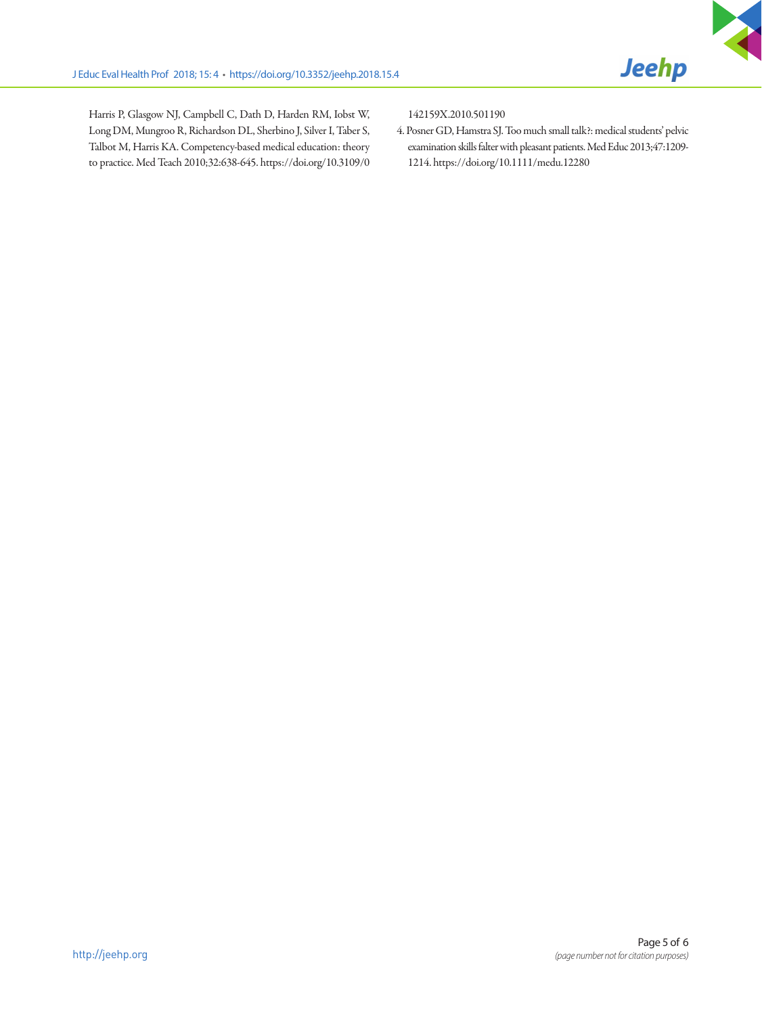

Harris P, Glasgow NJ, Campbell C, Dath D, Harden RM, Iobst W, Long DM, Mungroo R, Richardson DL, Sherbino J, Silver I, Taber S, Talbot M, Harris KA. Competency-based medical education: theory to practice. Med Teach 2010;32:638-645. [https://doi.org/10.3109/0](https://doi.org/10.3109/0142159X.2010.501190) [142159X.2010.501190](https://doi.org/10.3109/0142159X.2010.501190)

4. Posner GD, Hamstra SJ. Too much small talk?: medical students' pelvic examination skills falter with pleasant patients. Med Educ 2013;47:1209- 1214. https://doi.org/10.1111/medu.12280